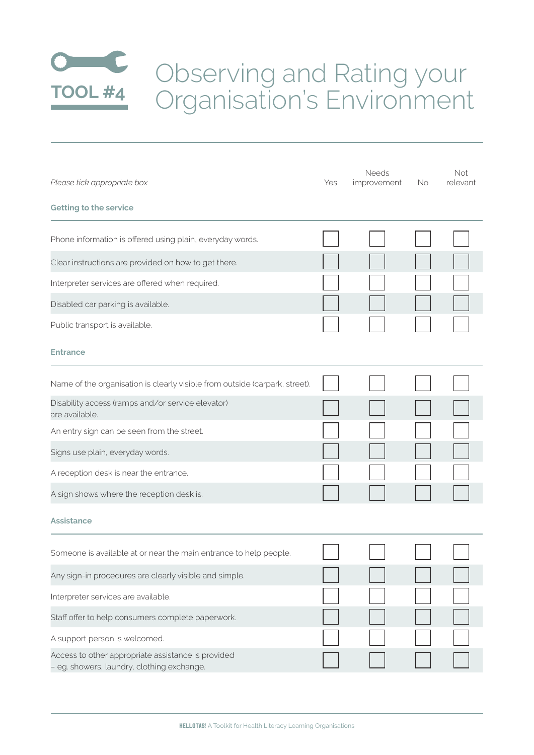

| Please tick appropriate box                                                                      | Yes | Needs<br>improvement | No | Not.<br>relevant |
|--------------------------------------------------------------------------------------------------|-----|----------------------|----|------------------|
| <b>Getting to the service</b>                                                                    |     |                      |    |                  |
| Phone information is offered using plain, everyday words.                                        |     |                      |    |                  |
| Clear instructions are provided on how to get there.                                             |     |                      |    |                  |
| Interpreter services are offered when required.                                                  |     |                      |    |                  |
| Disabled car parking is available.                                                               |     |                      |    |                  |
| Public transport is available.                                                                   |     |                      |    |                  |
| <b>Entrance</b>                                                                                  |     |                      |    |                  |
| Name of the organisation is clearly visible from outside (carpark, street).                      |     |                      |    |                  |
| Disability access (ramps and/or service elevator)<br>are available.                              |     |                      |    |                  |
| An entry sign can be seen from the street.                                                       |     |                      |    |                  |
| Signs use plain, everyday words.                                                                 |     |                      |    |                  |
| A reception desk is near the entrance.                                                           |     |                      |    |                  |
| A sign shows where the reception desk is.                                                        |     |                      |    |                  |
| <b>Assistance</b>                                                                                |     |                      |    |                  |
| Someone is available at or near the main entrance to help people.                                |     |                      |    |                  |
| Any sign-in procedures are clearly visible and simple.                                           |     |                      |    |                  |
| Interpreter services are available.                                                              |     |                      |    |                  |
| Staff offer to help consumers complete paperwork.                                                |     |                      |    |                  |
| A support person is welcomed.                                                                    |     |                      |    |                  |
| Access to other appropriate assistance is provided<br>- eg. showers, laundry, clothing exchange. |     |                      |    |                  |